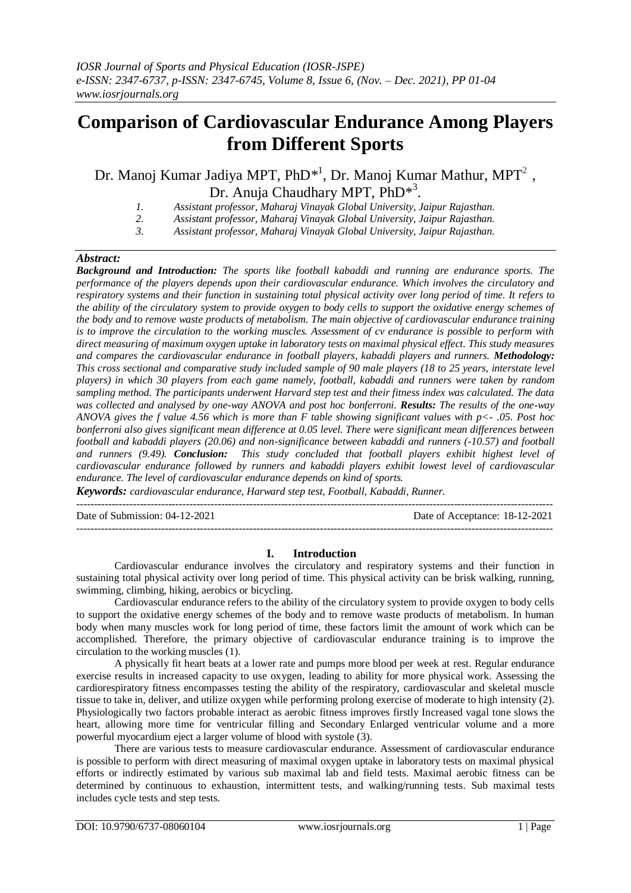# **Comparison of Cardiovascular Endurance Among Players from Different Sports**

Dr. Manoj Kumar Jadiya MPT, PhD<sup>\*1</sup>, Dr. Manoj Kumar Mathur, MPT<sup>2</sup>, Dr. Anuja Chaudhary MPT, PhD<sup>\*3</sup>.

- *1. Assistant professor, Maharaj Vinayak Global University, Jaipur Rajasthan.*
- *2. Assistant professor, Maharaj Vinayak Global University, Jaipur Rajasthan.*
- *3. Assistant professor, Maharaj Vinayak Global University, Jaipur Rajasthan.*

# *Abstract:*

*Background and Introduction: The sports like football kabaddi and running are endurance sports. The performance of the players depends upon their cardiovascular endurance. Which involves the circulatory and respiratory systems and their function in sustaining total physical activity over long period of time. It refers to the ability of the circulatory system to provide oxygen to body cells to support the oxidative energy schemes of the body and to remove waste products of metabolism. The main objective of cardiovascular endurance training is to improve the circulation to the working muscles. Assessment of cv endurance is possible to perform with direct measuring of maximum oxygen uptake in laboratory tests on maximal physical effect. This study measures and compares the cardiovascular endurance in football players, kabaddi players and runners. Methodology: This cross sectional and comparative study included sample of 90 male players (18 to 25 years, interstate level players) in which 30 players from each game namely, football, kabaddi and runners were taken by random sampling method. The participants underwent Harvard step test and their fitness index was calculated. The data was collected and analysed by one-way ANOVA and post hoc bonferroni. Results: The results of the one-way ANOVA gives the f value 4.56 which is more than F table showing significant values with p<- .05. Post hoc bonferroni also gives significant mean difference at 0.05 level. There were significant mean differences between football and kabaddi players (20.06) and non-significance between kabaddi and runners (-10.57) and football and runners (9.49). Conclusion: This study concluded that football players exhibit highest level of cardiovascular endurance followed by runners and kabaddi players exhibit lowest level of cardiovascular endurance. The level of cardiovascular endurance depends on kind of sports.*

*Keywords: cardiovascular endurance, Harward step test, Football, Kabaddi, Runner.*

---------------------------------------------------------------------------------------------------------------------------------------

Date of Submission: 04-12-2021 Date of Acceptance: 18-12-2021

# **I. Introduction**

---------------------------------------------------------------------------------------------------------------------------------------

Cardiovascular endurance involves the circulatory and respiratory systems and their function in sustaining total physical activity over long period of time. This physical activity can be brisk walking, running, swimming, climbing, hiking, aerobics or bicycling.

Cardiovascular endurance refers to the ability of the circulatory system to provide oxygen to body cells to support the oxidative energy schemes of the body and to remove waste products of metabolism. In human body when many muscles work for long period of time, these factors limit the amount of work which can be accomplished. Therefore, the primary objective of cardiovascular endurance training is to improve the circulation to the working muscles (1).

A physically fit heart beats at a lower rate and pumps more blood per week at rest. Regular endurance exercise results in increased capacity to use oxygen, leading to ability for more physical work. Assessing the cardiorespiratory fitness encompasses testing the ability of the respiratory, cardiovascular and skeletal muscle tissue to take in, deliver, and utilize oxygen while performing prolong exercise of moderate to high intensity (2). Physiologically two factors probable interact as aerobic fitness improves firstly Increased vagal tone slows the heart, allowing more time for ventricular filling and Secondary Enlarged ventricular volume and a more powerful myocardium eject a larger volume of blood with systole (3).

There are various tests to measure cardiovascular endurance. Assessment of cardiovascular endurance is possible to perform with direct measuring of maximal oxygen uptake in laboratory tests on maximal physical efforts or indirectly estimated by various sub maximal lab and field tests. Maximal aerobic fitness can be determined by continuous to exhaustion, intermittent tests, and walking/running tests. Sub maximal tests includes cycle tests and step tests.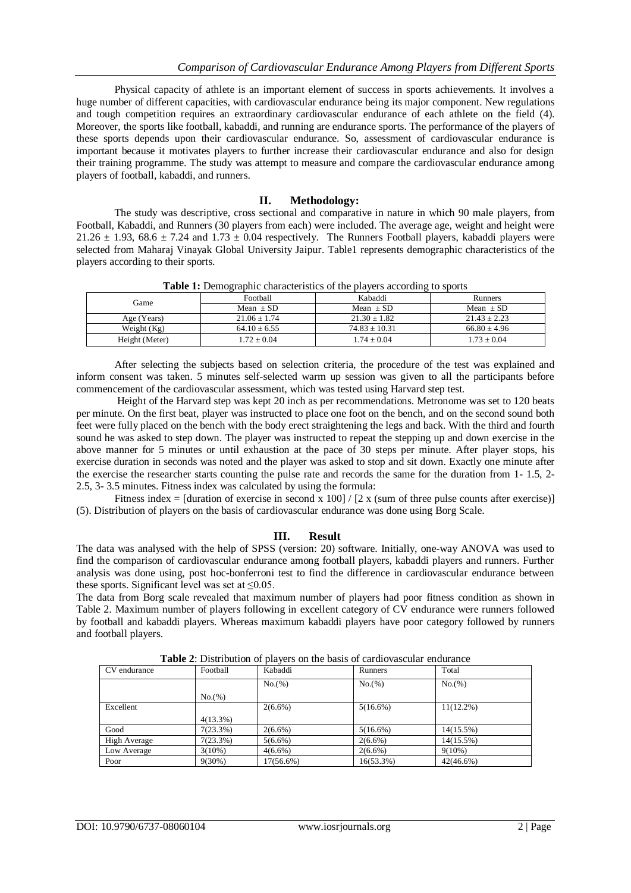Physical capacity of athlete is an important element of success in sports achievements. It involves a huge number of different capacities, with cardiovascular endurance being its major component. New regulations and tough competition requires an extraordinary cardiovascular endurance of each athlete on the field (4). Moreover, the sports like football, kabaddi, and running are endurance sports. The performance of the players of these sports depends upon their cardiovascular endurance. So, assessment of cardiovascular endurance is important because it motivates players to further increase their cardiovascular endurance and also for design their training programme. The study was attempt to measure and compare the cardiovascular endurance among players of football, kabaddi, and runners.

# **II. Methodology:**

The study was descriptive, cross sectional and comparative in nature in which 90 male players, from Football, Kabaddi, and Runners (30 players from each) were included. The average age, weight and height were 21.26  $\pm$  1.93, 68.6  $\pm$  7.24 and 1.73  $\pm$  0.04 respectively. The Runners Football players, kabaddi players were selected from Maharaj Vinayak Global University Jaipur. Table1 represents demographic characteristics of the players according to their sports.

| Game           | Football       | Kabaddi         | <b>Runners</b> |  |  |
|----------------|----------------|-----------------|----------------|--|--|
|                | $Mean + SD$    | Mean $+$ SD     | Mean $+$ SD    |  |  |
| Age (Years)    | $21.06 + 1.74$ | $21.30 + 1.82$  | $21.43 + 2.23$ |  |  |
| Weight $(Kg)$  | $64.10 + 6.55$ | $74.83 + 10.31$ | $66.80 + 4.96$ |  |  |
| Height (Meter) | $1.72 + 0.04$  | $1.74 + 0.04$   | $1.73 + 0.04$  |  |  |

**Table 1:** Demographic characteristics of the players according to sports

After selecting the subjects based on selection criteria, the procedure of the test was explained and inform consent was taken. 5 minutes self-selected warm up session was given to all the participants before commencement of the cardiovascular assessment, which was tested using Harvard step test.

Height of the Harvard step was kept 20 inch as per recommendations. Metronome was set to 120 beats per minute. On the first beat, player was instructed to place one foot on the bench, and on the second sound both feet were fully placed on the bench with the body erect straightening the legs and back. With the third and fourth sound he was asked to step down. The player was instructed to repeat the stepping up and down exercise in the above manner for 5 minutes or until exhaustion at the pace of 30 steps per minute. After player stops, his exercise duration in seconds was noted and the player was asked to stop and sit down. Exactly one minute after the exercise the researcher starts counting the pulse rate and records the same for the duration from 1- 1.5, 2- 2.5, 3- 3.5 minutes. Fitness index was calculated by using the formula:

Fitness index = [duration of exercise in second x  $100$ ] / [2 x (sum of three pulse counts after exercise)] (5). Distribution of players on the basis of cardiovascular endurance was done using Borg Scale.

### **III. Result**

The data was analysed with the help of SPSS (version: 20) software. Initially, one-way ANOVA was used to find the comparison of cardiovascular endurance among football players, kabaddi players and runners. Further analysis was done using, post hoc-bonferroni test to find the difference in cardiovascular endurance between these sports. Significant level was set at  $\leq 0.05$ .

The data from Borg scale revealed that maximum number of players had poor fitness condition as shown in Table 2. Maximum number of players following in excellent category of CV endurance were runners followed by football and kabaddi players. Whereas maximum kabaddi players have poor category followed by runners and football players.

| CV endurance | Football    | Kabaddi    | Runners      | Total        |
|--------------|-------------|------------|--------------|--------------|
|              |             | No.(%)     | No.(%)       | No.(%)       |
|              | No.(%)      |            |              |              |
| Excellent    |             | $2(6.6\%)$ | $5(16.6\%)$  | $11(12.2\%)$ |
|              | $4(13.3\%)$ |            |              |              |
| Good         | 7(23.3%)    | $2(6.6\%)$ | $5(16.6\%)$  | 14(15.5%)    |
| High Average | 7(23.3%)    | $5(6.6\%)$ | $2(6.6\%)$   | $14(15.5\%)$ |
| Low Average  | $3(10\%)$   | $4(6.6\%)$ | $2(6.6\%)$   | $9(10\%)$    |
| Poor         | $9(30\%)$   | 17(56.6%)  | $16(53.3\%)$ | $42(46.6\%)$ |

**Table 2**: Distribution of players on the basis of cardiovascular endurance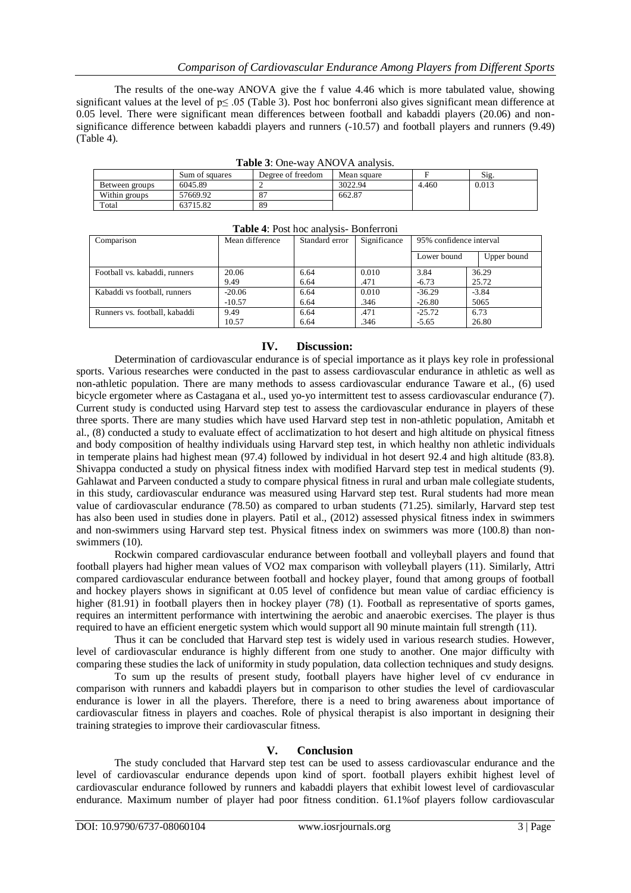The results of the one-way ANOVA give the f value 4.46 which is more tabulated value, showing significant values at the level of  $p \le 0.05$  (Table 3). Post hoc bonferroni also gives significant mean difference at 0.05 level. There were significant mean differences between football and kabaddi players (20.06) and nonsignificance difference between kabaddi players and runners (-10.57) and football players and runners (9.49) (Table 4).

|                | Sum of squares | Degree of freedom | Mean square |       | Sig.  |
|----------------|----------------|-------------------|-------------|-------|-------|
| Between groups | 6045.89        |                   | 3022.94     | 4.460 | 0.013 |
| Within groups  | 57669.92       | 87                | 662.87      |       |       |
| Total          | 63715.82       | 89                |             |       |       |

| Table 3: One-way ANOVA analysis. |  |
|----------------------------------|--|
|----------------------------------|--|

| Table 4: Post hoc analysis- Bonferroni |                 |                |              |                         |             |
|----------------------------------------|-----------------|----------------|--------------|-------------------------|-------------|
| Comparison                             | Mean difference | Standard error | Significance | 95% confidence interval |             |
|                                        |                 |                |              | Lower bound             | Upper bound |
| Football vs. kabaddi, runners          | 20.06           | 6.64           | 0.010        | 3.84                    | 36.29       |
|                                        | 9.49            | 6.64           | .471         | $-6.73$                 | 25.72       |
| Kabaddi vs football, runners           | $-20.06$        | 6.64           | 0.010        | $-36.29$                | $-3.84$     |
|                                        | $-10.57$        | 6.64           | .346         | $-26.80$                | 5065        |
| Runners vs. football, kabaddi          | 9.49            | 6.64           | .471         | $-25.72$                | 6.73        |
|                                        | 10.57           | 6.64           | .346         | $-5.65$                 | 26.80       |

# **IV. Discussion:**

Determination of cardiovascular endurance is of special importance as it plays key role in professional sports. Various researches were conducted in the past to assess cardiovascular endurance in athletic as well as non-athletic population. There are many methods to assess cardiovascular endurance Taware et al., (6) used bicycle ergometer where as Castagana et al., used yo-yo intermittent test to assess cardiovascular endurance (7). Current study is conducted using Harvard step test to assess the cardiovascular endurance in players of these three sports. There are many studies which have used Harvard step test in non-athletic population, Amitabh et al., (8) conducted a study to evaluate effect of acclimatization to hot desert and high altitude on physical fitness and body composition of healthy individuals using Harvard step test, in which healthy non athletic individuals in temperate plains had highest mean (97.4) followed by individual in hot desert 92.4 and high altitude (83.8). Shivappa conducted a study on physical fitness index with modified Harvard step test in medical students (9). Gahlawat and Parveen conducted a study to compare physical fitness in rural and urban male collegiate students, in this study, cardiovascular endurance was measured using Harvard step test. Rural students had more mean value of cardiovascular endurance (78.50) as compared to urban students (71.25). similarly, Harvard step test has also been used in studies done in players. Patil et al., (2012) assessed physical fitness index in swimmers and non-swimmers using Harvard step test. Physical fitness index on swimmers was more (100.8) than nonswimmers (10).

Rockwin compared cardiovascular endurance between football and volleyball players and found that football players had higher mean values of VO2 max comparison with volleyball players (11). Similarly, Attri compared cardiovascular endurance between football and hockey player, found that among groups of football and hockey players shows in significant at 0.05 level of confidence but mean value of cardiac efficiency is higher (81.91) in football players then in hockey player (78) (1). Football as representative of sports games, requires an intermittent performance with intertwining the aerobic and anaerobic exercises. The player is thus required to have an efficient energetic system which would support all 90 minute maintain full strength (11).

Thus it can be concluded that Harvard step test is widely used in various research studies. However, level of cardiovascular endurance is highly different from one study to another. One major difficulty with comparing these studies the lack of uniformity in study population, data collection techniques and study designs.

To sum up the results of present study, football players have higher level of cv endurance in comparison with runners and kabaddi players but in comparison to other studies the level of cardiovascular endurance is lower in all the players. Therefore, there is a need to bring awareness about importance of cardiovascular fitness in players and coaches. Role of physical therapist is also important in designing their training strategies to improve their cardiovascular fitness.

# **V. Conclusion**

The study concluded that Harvard step test can be used to assess cardiovascular endurance and the level of cardiovascular endurance depends upon kind of sport. football players exhibit highest level of cardiovascular endurance followed by runners and kabaddi players that exhibit lowest level of cardiovascular endurance. Maximum number of player had poor fitness condition. 61.1%of players follow cardiovascular